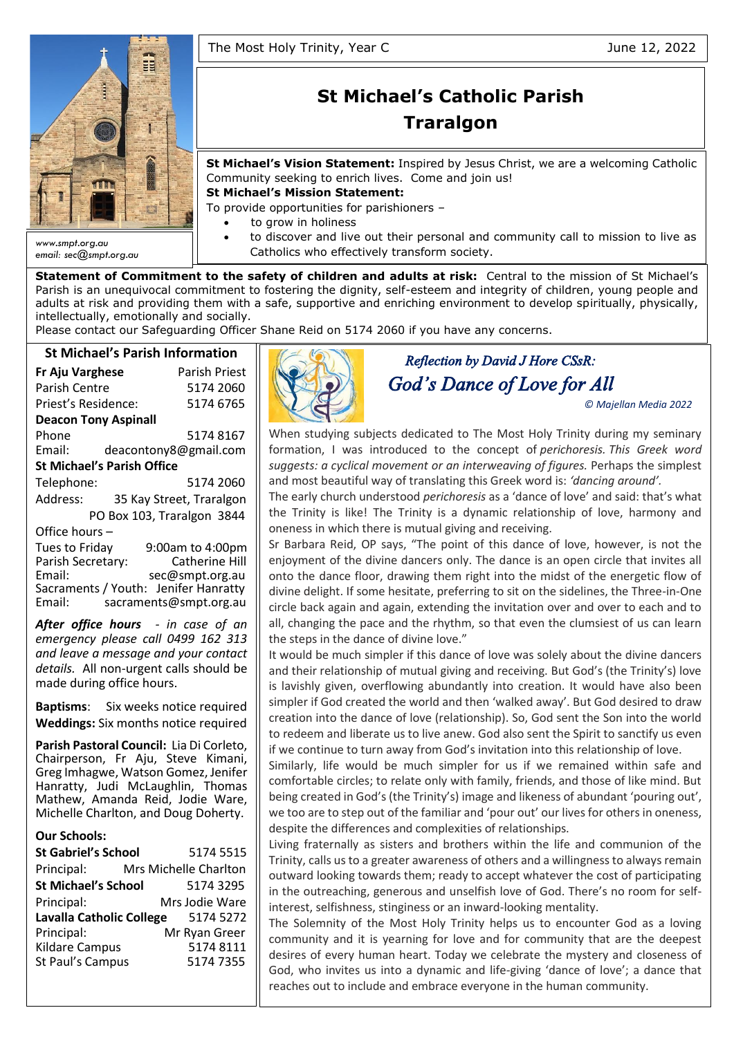

*email: sec@smpt.org.au*

# **St Michael's Catholic Parish Traralgon**

**St Michael's Vision Statement:** Inspired by Jesus Christ, we are a welcoming Catholic Community seeking to enrich lives. Come and join us!

**St Michael's Mission Statement:**

To provide opportunities for parishioners –

- to grow in holiness
- to discover and live out their personal and community call to mission to live as Catholics who effectively transform society.

**Statement of Commitment to the safety of children and adults at risk:** Central to the mission of St Michael's Parish is an unequivocal commitment to fostering the dignity, self-esteem and integrity of children, young people and adults at risk and providing them with a safe, supportive and enriching environment to develop spiritually, physically, intellectually, emotionally and socially.

Please contact our Safeguarding Officer Shane Reid on 5174 2060 if you have any concerns.

## **St Michael's Parish Information**

| 31 IVIILIIQEI 3 FAI ISII IIIIU       |                            |  |  |  |  |  |
|--------------------------------------|----------------------------|--|--|--|--|--|
| <b>Fr Aju Varghese</b>               | <b>Parish Priest</b>       |  |  |  |  |  |
| Parish Centre                        | 5174 2060                  |  |  |  |  |  |
| Priest's Residence:                  | 5174 6765                  |  |  |  |  |  |
| <b>Deacon Tony Aspinall</b>          |                            |  |  |  |  |  |
| Phone                                | 51748167                   |  |  |  |  |  |
| Email:                               | deacontony8@gmail.com      |  |  |  |  |  |
| <b>St Michael's Parish Office</b>    |                            |  |  |  |  |  |
| Telephone:                           | 5174 2060                  |  |  |  |  |  |
| Address:                             | 35 Kay Street, Traralgon   |  |  |  |  |  |
|                                      | PO Box 103, Traralgon 3844 |  |  |  |  |  |
| Office hours-                        |                            |  |  |  |  |  |
| Tues to Friday                       | 9:00am to 4:00pm           |  |  |  |  |  |
| Parish Secretary:                    | <b>Catherine Hill</b>      |  |  |  |  |  |
| Email:                               | sec@smpt.org.au            |  |  |  |  |  |
| Sacraments / Youth: Jenifer Hanratty |                            |  |  |  |  |  |

Email: [sacraments@smpt.org.au](mailto:sacraments@smpt.org.au) *After office hours - in case of an emergency please call 0499 162 313 and leave a message and your contact details.* All non-urgent calls should be made during office hours.

**Baptisms**: Six weeks notice required **Weddings:** Six months notice required

**Parish Pastoral Council:** Lia Di Corleto, Chairperson, Fr Aju, Steve Kimani, Greg Imhagwe, Watson Gomez, Jenifer Hanratty, Judi McLaughlin, Thomas Mathew, Amanda Reid, Jodie Ware, Michelle Charlton, and Doug Doherty.

#### **Our Schools:**

| 5174 5515             |
|-----------------------|
| Mrs Michelle Charlton |
| 5174 3295             |
| Mrs Jodie Ware        |
| 5174 5272             |
| Mr Ryan Greer         |
| 5174 8111             |
| 5174 7355             |
|                       |



## *Reflection by David J Hore CSsR: God's Dance of Love for All*

*© Majellan Media 2022* 

When studying subjects dedicated to The Most Holy Trinity during my seminary formation, I was introduced to the concept of *perichoresis. This Greek word suggests: a cyclical movement or an interweaving of figures.* Perhaps the simplest and most beautiful way of translating this Greek word is: *'dancing around'.*

The early church understood *perichoresis* as a 'dance of love' and said: that's what the Trinity is like! The Trinity is a dynamic relationship of love, harmony and oneness in which there is mutual giving and receiving.

Sr Barbara Reid, OP says, "The point of this dance of love, however, is not the enjoyment of the divine dancers only. The dance is an open circle that invites all onto the dance floor, drawing them right into the midst of the energetic flow of divine delight. If some hesitate, preferring to sit on the sidelines, the Three-in-One circle back again and again, extending the invitation over and over to each and to all, changing the pace and the rhythm, so that even the clumsiest of us can learn the steps in the dance of divine love."

It would be much simpler if this dance of love was solely about the divine dancers and their relationship of mutual giving and receiving. But God's (the Trinity's) love is lavishly given, overflowing abundantly into creation. It would have also been simpler if God created the world and then 'walked away'. But God desired to draw creation into the dance of love (relationship). So, God sent the Son into the world to redeem and liberate us to live anew. God also sent the Spirit to sanctify us even if we continue to turn away from God's invitation into this relationship of love.

Similarly, life would be much simpler for us if we remained within safe and comfortable circles; to relate only with family, friends, and those of like mind. But being created in God's (the Trinity's) image and likeness of abundant 'pouring out', we too are to step out of the familiar and 'pour out' our lives for others in oneness, despite the differences and complexities of relationships.

Living fraternally as sisters and brothers within the life and communion of the Trinity, calls us to a greater awareness of others and a willingness to always remain outward looking towards them; ready to accept whatever the cost of participating in the outreaching, generous and unselfish love of God. There's no room for selfinterest, selfishness, stinginess or an inward-looking mentality.

The Solemnity of the Most Holy Trinity helps us to encounter God as a loving community and it is yearning for love and for community that are the deepest desires of every human heart. Today we celebrate the mystery and closeness of God, who invites us into a dynamic and life-giving 'dance of love'; a dance that reaches out to include and embrace everyone in the human community.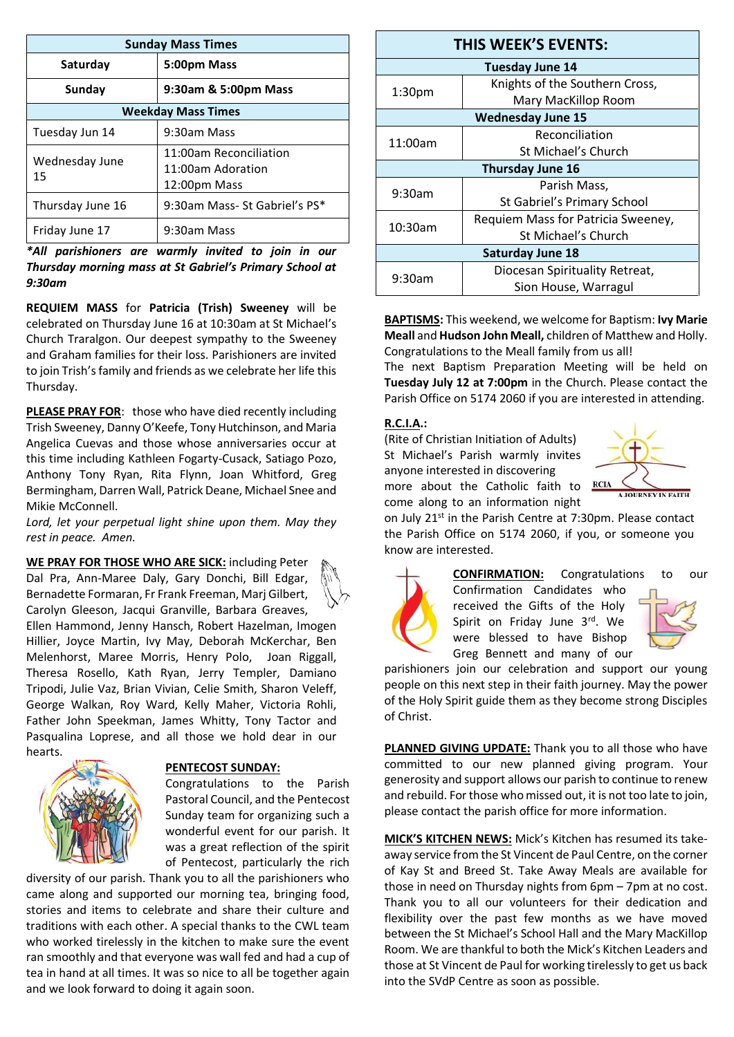| <b>Sunday Mass Times</b>  |                                                             |  |  |  |
|---------------------------|-------------------------------------------------------------|--|--|--|
| Saturday                  | 5:00pm Mass                                                 |  |  |  |
| Sunday                    | 9:30am & 5:00pm Mass                                        |  |  |  |
| <b>Weekday Mass Times</b> |                                                             |  |  |  |
| Tuesday Jun 14            | 9:30am Mass                                                 |  |  |  |
| Wednesday June<br>15      | 11:00am Reconciliation<br>11:00am Adoration<br>12:00pm Mass |  |  |  |
| Thursday June 16          | 9:30am Mass- St Gabriel's PS*                               |  |  |  |
| Friday June 17            | 9:30am Mass                                                 |  |  |  |

*\*All parishioners are warmly invited to join in our Thursday morning mass at St Gabriel's Primary School at 9:30am*

**REQUIEM MASS** for **Patricia (Trish) Sweeney** will be celebrated on Thursday June 16 at 10:30am at St Michael's Church Traralgon. Our deepest sympathy to the Sweeney and Graham families for their loss. Parishioners are invited to join Trish's family and friends as we celebrate her life this Thursday.

**PLEASE PRAY FOR**: those who have died recently including Trish Sweeney, Danny O'Keefe, Tony Hutchinson, and Maria Angelica Cuevas and those whose anniversaries occur at this time including Kathleen Fogarty-Cusack, Satiago Pozo, Anthony Tony Ryan, Rita Flynn, Joan Whitford, Greg Bermingham, Darren Wall, Patrick Deane, Michael Snee and Mikie McConnell.

*Lord, let your perpetual light shine upon them. May they rest in peace. Amen.*

**WE PRAY FOR THOSE WHO ARE SICK:** including Peter Dal Pra, Ann-Maree Daly, Gary Donchi, Bill Edgar, Bernadette Formaran, Fr Frank Freeman, Marj Gilbert, Carolyn Gleeson, Jacqui Granville, Barbara Greaves, Ellen Hammond, Jenny Hansch, Robert Hazelman, Imogen Hillier, Joyce Martin, Ivy May, Deborah McKerchar, Ben Melenhorst, Maree Morris, Henry Polo, Joan Riggall, Theresa Rosello, Kath Ryan, Jerry Templer, Damiano Tripodi, Julie Vaz, Brian Vivian, Celie Smith, Sharon Veleff, George Walkan, Roy Ward, Kelly Maher, Victoria Rohli, Father John Speekman, James Whitty, Tony Tactor and Pasqualina Loprese, and all those we hold dear in our hearts.



#### **PENTECOST SUNDAY:**

Congratulations to the Parish Pastoral Council, and the Pentecost Sunday team for organizing such a wonderful event for our parish. It was a great reflection of the spirit of Pentecost, particularly the rich

diversity of our parish. Thank you to all the parishioners who came along and supported our morning tea, bringing food, stories and items to celebrate and share their culture and traditions with each other. A special thanks to the CWL team who worked tirelessly in the kitchen to make sure the event ran smoothly and that everyone was wall fed and had a cup of tea in hand at all times. It was so nice to all be together again and we look forward to doing it again soon.

| <b>THIS WEEK'S EVENTS:</b> |                                    |  |  |  |  |
|----------------------------|------------------------------------|--|--|--|--|
| <b>Tuesday June 14</b>     |                                    |  |  |  |  |
| 1:30 <sub>pm</sub>         | Knights of the Southern Cross,     |  |  |  |  |
|                            | Mary MacKillop Room                |  |  |  |  |
| <b>Wednesday June 15</b>   |                                    |  |  |  |  |
| 11:00am                    | Reconciliation                     |  |  |  |  |
|                            | St Michael's Church                |  |  |  |  |
| <b>Thursday June 16</b>    |                                    |  |  |  |  |
| $9:30$ am                  | Parish Mass,                       |  |  |  |  |
|                            | St Gabriel's Primary School        |  |  |  |  |
| $10:30$ am                 | Requiem Mass for Patricia Sweeney, |  |  |  |  |
|                            | St Michael's Church                |  |  |  |  |
| <b>Saturday June 18</b>    |                                    |  |  |  |  |
| 9:30am                     | Diocesan Spirituality Retreat,     |  |  |  |  |
|                            | Sion House, Warragul               |  |  |  |  |

**BAPTISMS:** This weekend, we welcome for Baptism: **Ivy Marie Meall** and **Hudson John Meall,** children of Matthew and Holly. Congratulations to the Meall family from us all!

The next Baptism Preparation Meeting will be held on **Tuesday July 12 at 7:00pm** in the Church. Please contact the Parish Office on 5174 2060 if you are interested in attending.

#### **R.C.I.A.:**

(Rite of Christian Initiation of Adults) St Michael's Parish warmly invites anyone interested in discovering more about the Catholic faith to RCIA come along to an information night



on July 21st in the Parish Centre at 7:30pm. Please contact the Parish Office on 5174 2060, if you, or someone you know are interested.



**CONFIRMATION:** Congratulations to our Confirmation Candidates who received the Gifts of the Holy Spirit on Friday June 3rd. We

parishioners join our celebration and support our young people on this next step in their faith journey. May the power of the Holy Spirit guide them as they become strong Disciples of Christ.

were blessed to have Bishop Greg Bennett and many of our

**PLANNED GIVING UPDATE:** Thank you to all those who have committed to our new planned giving program. Your generosity and support allows our parish to continue to renew and rebuild. For those who missed out, it is not too late to join, please contact the parish office for more information.

**MICK'S KITCHEN NEWS:** Mick's Kitchen has resumed its takeaway service from the St Vincent de Paul Centre, on the corner of Kay St and Breed St. Take Away Meals are available for those in need on Thursday nights from 6pm – 7pm at no cost. Thank you to all our volunteers for their dedication and flexibility over the past few months as we have moved between the St Michael's School Hall and the Mary MacKillop Room. We are thankful to both the Mick's Kitchen Leaders and those at St Vincent de Paul for working tirelessly to get us back into the SVdP Centre as soon as possible.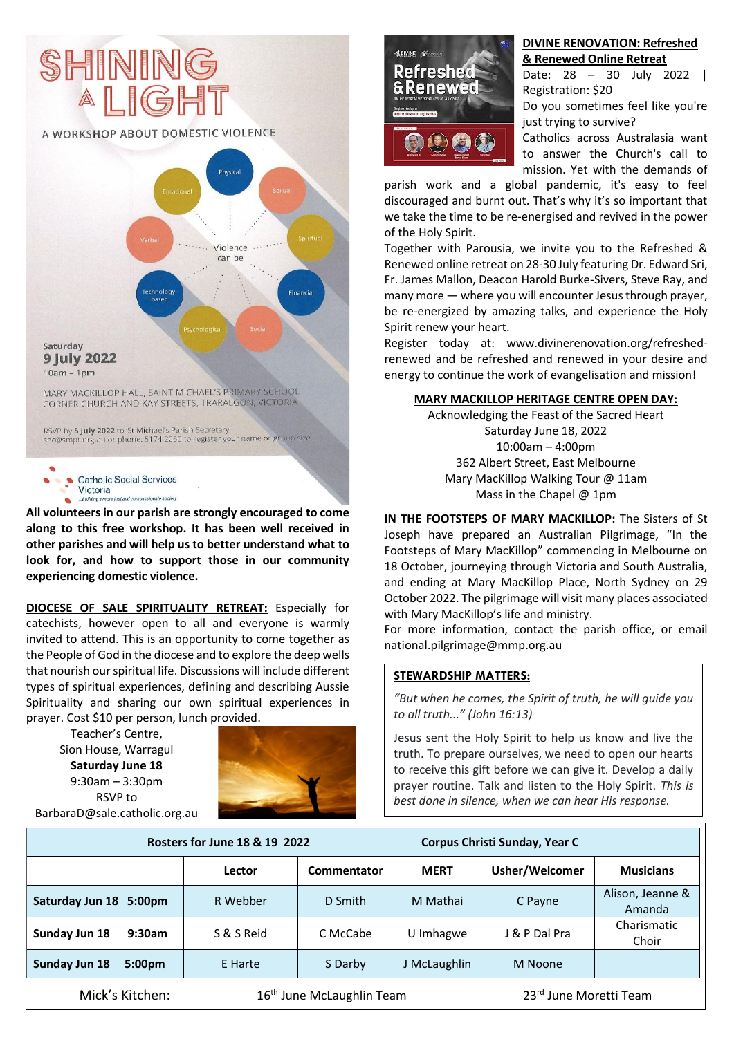

Victoria **All volunteers in our parish are strongly encouraged to come** 

**along to this free workshop. It has been well received in other parishes and will help us to better understand what to look for, and how to support those in our community experiencing domestic violence.**

**DIOCESE OF SALE SPIRITUALITY RETREAT:** Especially for catechists, however open to all and everyone is warmly invited to attend. This is an opportunity to come together as the People of God in the diocese and to explore the deep wells that nourish our spiritual life. Discussions will include different types of spiritual experiences, defining and describing Aussie Spirituality and sharing our own spiritual experiences in prayer. Cost \$10 per person, lunch provided.

Teacher's Centre, Sion House, Warragul **Saturday June 18** 9:30am – 3:30pm RSVP to [BarbaraD@sale.catholic.org.au](mailto:BarbaraD@sale.catholic.org.au)





#### **DIVINE RENOVATION: Refreshed & Renewed Online Retreat**

Date: 28 – 30 July 2022 | Registration: \$20

Do you sometimes feel like you're just trying to survive?

Catholics across Australasia want to answer the Church's call to mission. Yet with the demands of

parish work and a global pandemic, it's easy to feel discouraged and burnt out. That's why it's so important that we take the time to be re-energised and revived in the power of the Holy Spirit.

Together with Parousia, we invite you to the Refreshed & Renewed online retreat on 28-30 July featuring Dr. Edward Sri, Fr. James Mallon, Deacon Harold Burke-Sivers, Steve Ray, and many more — where you will encounter Jesus through prayer, be re-energized by amazing talks, and experience the Holy Spirit renew your heart.

Register today at: [www.divinerenovation.org/refreshed](http://www.divinerenovation.org/refreshed-renewed)[renewed](http://www.divinerenovation.org/refreshed-renewed) and be refreshed and renewed in your desire and energy to continue the work of evangelisation and mission!

#### **MARY MACKILLOP HERITAGE CENTRE OPEN DAY:**

Acknowledging the Feast of the Sacred Heart Saturday June 18, 2022 10:00am – 4:00pm 362 Albert Street, East Melbourne Mary MacKillop Walking Tour @ 11am Mass in the Chapel @ 1pm

**IN THE FOOTSTEPS OF MARY MACKILLOP:** The Sisters of St Joseph have prepared an Australian Pilgrimage, "In the Footsteps of Mary MacKillop" commencing in Melbourne on 18 October, journeying through Victoria and South Australia, and ending at Mary MacKillop Place, North Sydney on 29 October 2022. The pilgrimage will visit many places associated with Mary MacKillop's life and ministry.

For more information, contact the parish office, or email [national.pilgrimage@mmp.org.au](mailto:national.pilgrimage@mmp.org.au)

#### **STEWARDSHIP MATTERS:**

*"But when he comes, the Spirit of truth, he will guide you to all truth..." (John 16:13)*

Jesus sent the Holy Spirit to help us know and live the truth. To prepare ourselves, we need to open our hearts to receive this gift before we can give it. Develop a daily prayer routine. Talk and listen to the Holy Spirit. *This is best done in silence, when we can hear His response.*

|                                     | Rosters for June 18 & 19 2022         |             |              | Corpus Christi Sunday, Year C |                            |  |
|-------------------------------------|---------------------------------------|-------------|--------------|-------------------------------|----------------------------|--|
|                                     | Lector                                | Commentator | <b>MERT</b>  | Usher/Welcomer                | <b>Musicians</b>           |  |
| Saturday Jun 18 5:00pm              | R Webber                              | D Smith     | M Mathai     | C Payne                       | Alison, Jeanne &<br>Amanda |  |
| Sunday Jun 18<br>9:30am             | S & S Reid                            | C McCabe    | U Imhagwe    | J & P Dal Pra                 | Charismatic<br>Choir       |  |
| Sunday Jun 18<br>5:00 <sub>pm</sub> | E Harte                               | S Darby     | J McLaughlin | M Noone                       |                            |  |
| Mick's Kitchen:                     | 16 <sup>th</sup> June McLaughlin Team |             |              | 23rd June Moretti Team        |                            |  |